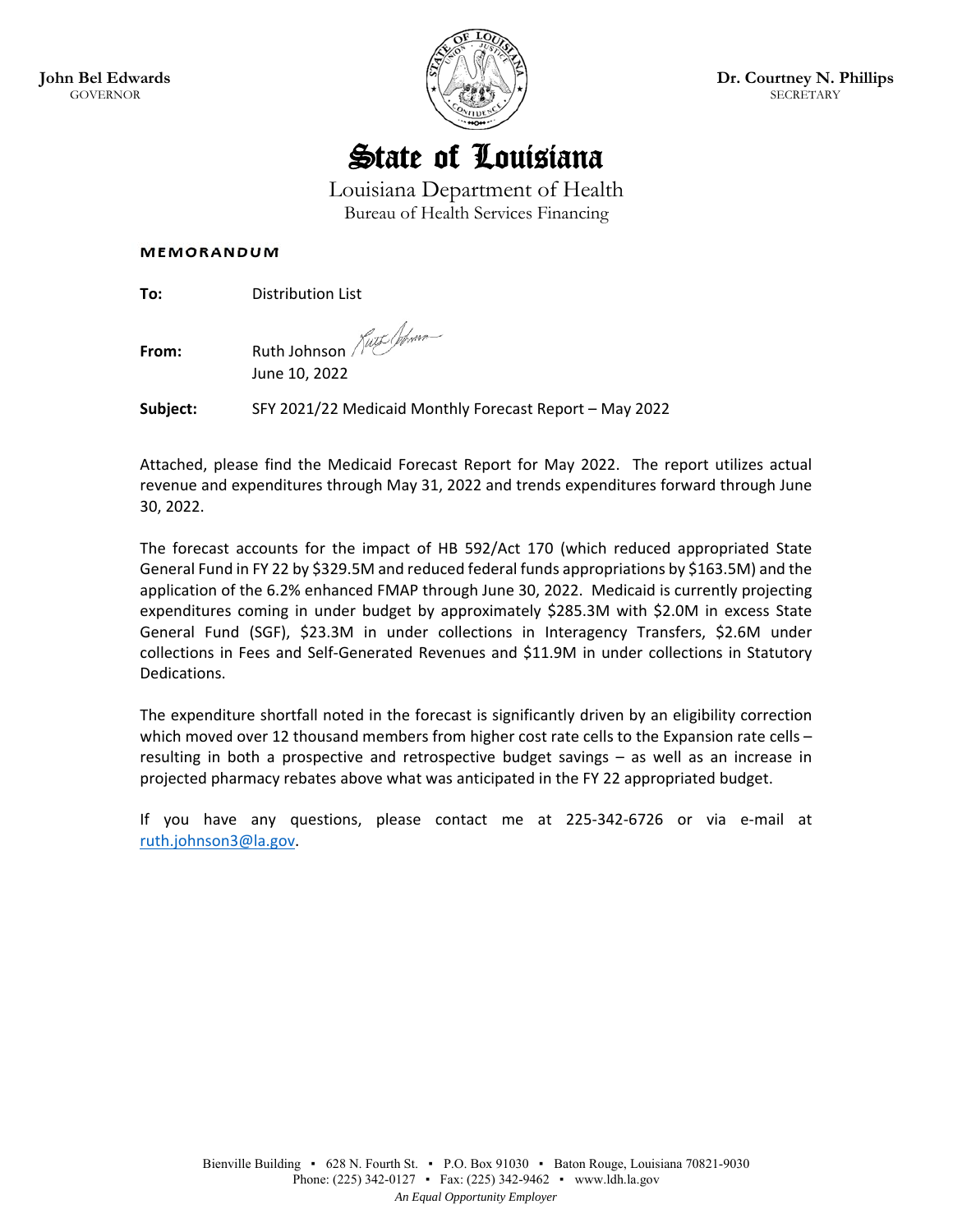



Louisiana Department of Health Bureau of Health Services Financing

#### **MEMORANDUM**

**To: Distribution List** 

**From:** Ruth Johnson *Kurt Wom* 

June 10, 2022

**Subject:** SFY 2021/22 Medicaid Monthly Forecast Report – May 2022

Attached, please find the Medicaid Forecast Report for May 2022. The report utilizes actual revenue and expenditures through May 31, 2022 and trends expenditures forward through June 30, 2022.

The forecast accounts for the impact of HB 592/Act 170 (which reduced appropriated State General Fund in FY 22 by \$329.5M and reduced federal funds appropriations by \$163.5M) and the application of the 6.2% enhanced FMAP through June 30, 2022. Medicaid is currently projecting expenditures coming in under budget by approximately \$285.3M with \$2.0M in excess State General Fund (SGF), \$23.3M in under collections in Interagency Transfers, \$2.6M under collections in Fees and Self‐Generated Revenues and \$11.9M in under collections in Statutory Dedications.

The expenditure shortfall noted in the forecast is significantly driven by an eligibility correction which moved over 12 thousand members from higher cost rate cells to the Expansion rate cells resulting in both a prospective and retrospective budget savings – as well as an increase in projected pharmacy rebates above what was anticipated in the FY 22 appropriated budget.

If you have any questions, please contact me at 225‐342‐6726 or via e‐mail at ruth.johnson3@la.gov.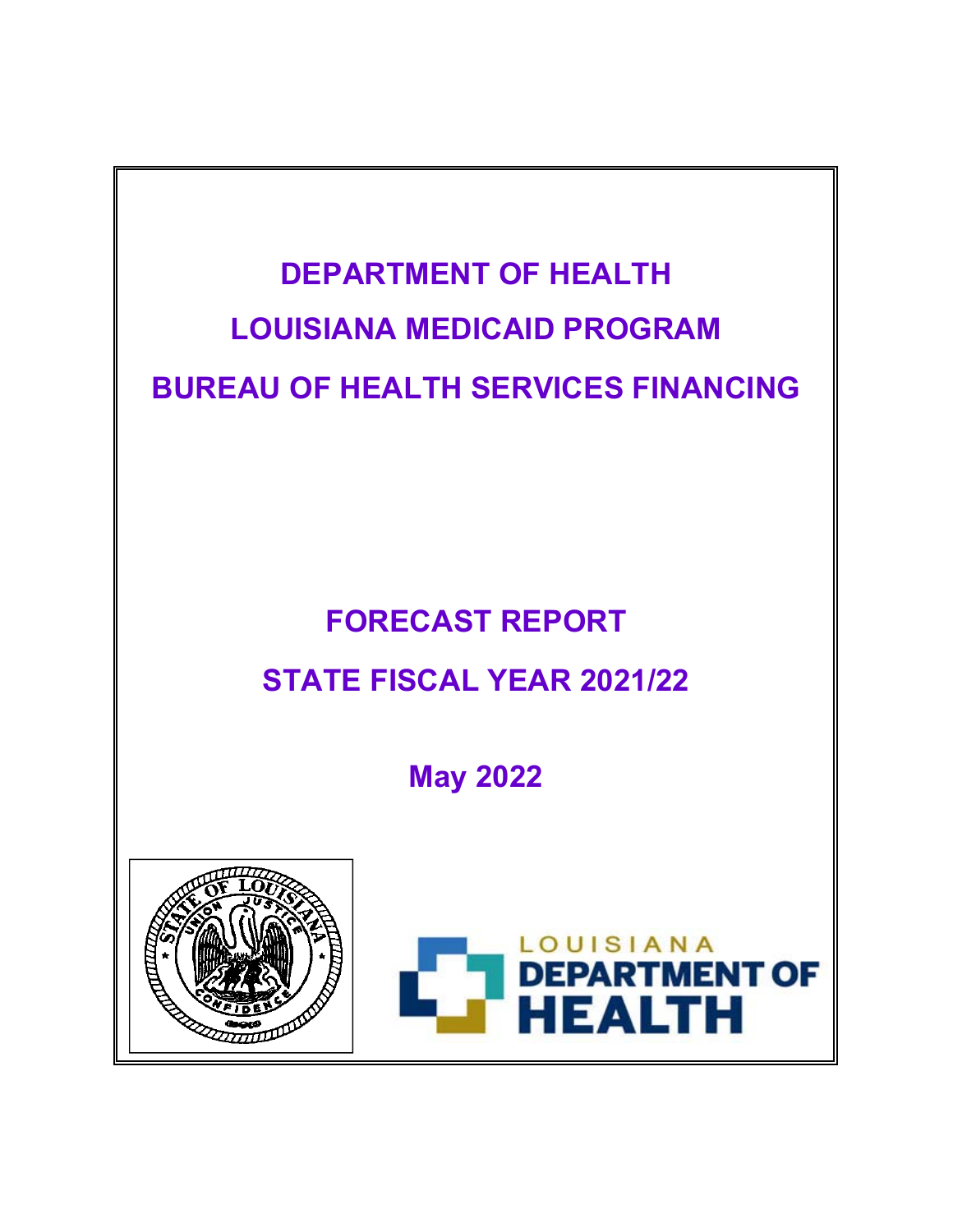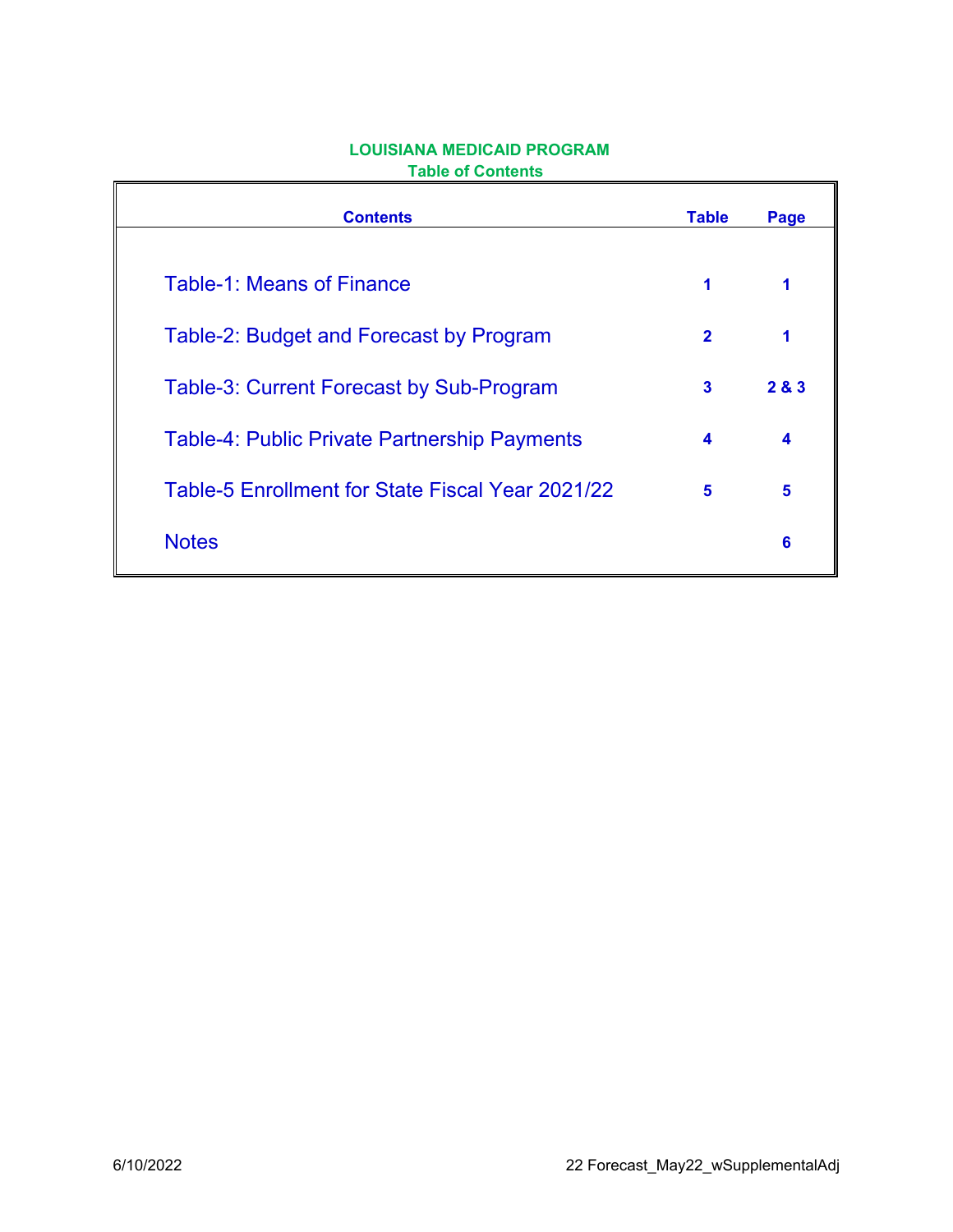| <b>Contents</b>                                     | <b>Table</b> | Page  |
|-----------------------------------------------------|--------------|-------|
| <b>Table-1: Means of Finance</b>                    | 1            |       |
| Table-2: Budget and Forecast by Program             | $\mathbf{2}$ | 1     |
| <b>Table-3: Current Forecast by Sub-Program</b>     | 3            | 2 & 3 |
| <b>Table-4: Public Private Partnership Payments</b> | 4            | 4     |
| Table-5 Enrollment for State Fiscal Year 2021/22    | 5            | 5     |
| <b>Notes</b>                                        |              | 6     |

# **LOUISIANA MEDICAID PROGRAM Table of Contents**

 $\mathbf{r}$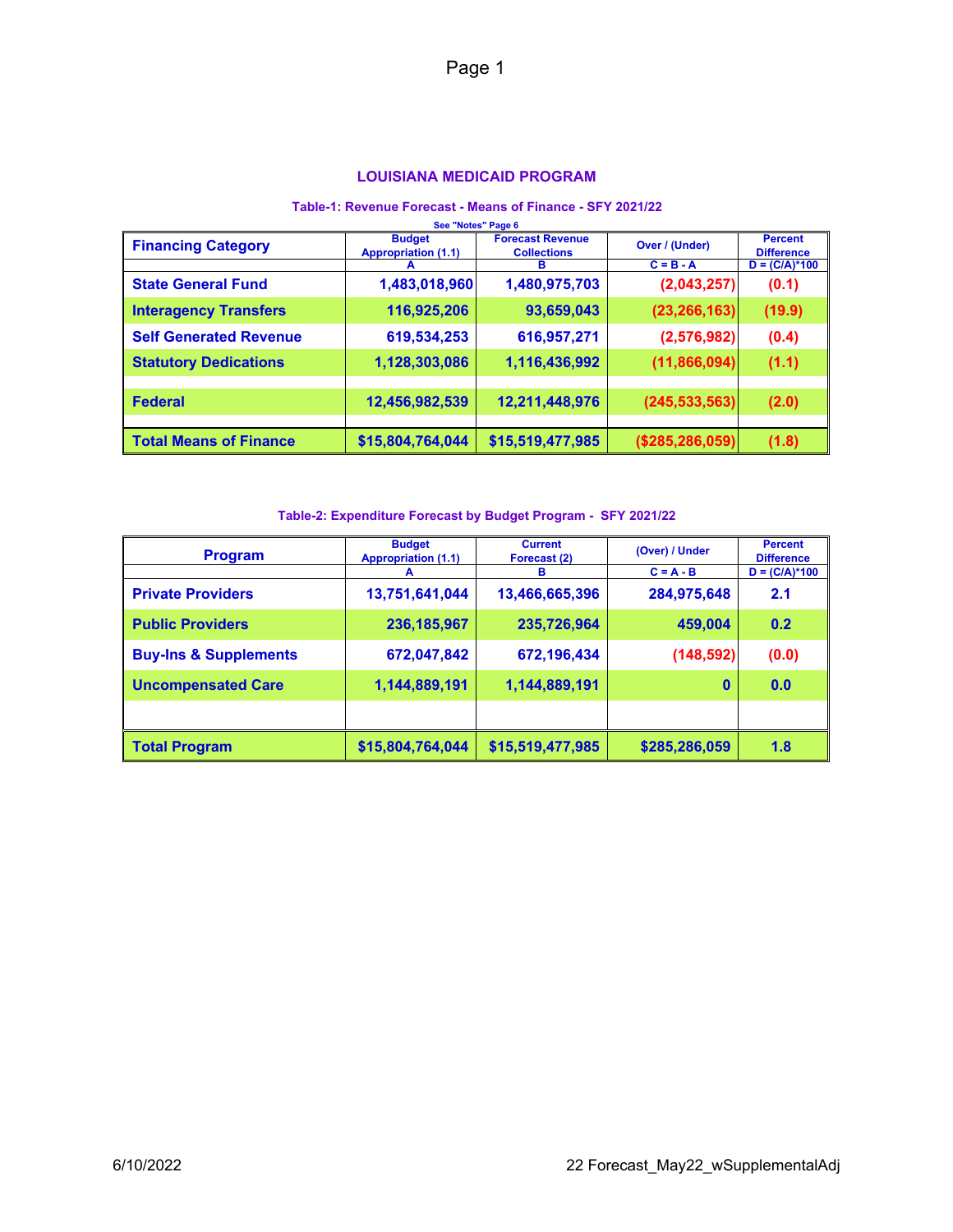#### **LOUISIANA MEDICAID PROGRAM**

#### **Table-1: Revenue Forecast - Means of Finance - SFY 2021/22**

| See "Notes" Page 6            |                                             |                                               |                   |                                     |  |  |  |
|-------------------------------|---------------------------------------------|-----------------------------------------------|-------------------|-------------------------------------|--|--|--|
| <b>Financing Category</b>     | <b>Budget</b><br><b>Appropriation (1.1)</b> | <b>Forecast Revenue</b><br><b>Collections</b> | Over / (Under)    | <b>Percent</b><br><b>Difference</b> |  |  |  |
|                               |                                             | в                                             | $C = B - A$       | $D = (C/A)*100$                     |  |  |  |
| <b>State General Fund</b>     | 1,483,018,960                               | 1,480,975,703                                 | (2,043,257)       | (0.1)                               |  |  |  |
| <b>Interagency Transfers</b>  | 116,925,206                                 | 93,659,043                                    | (23, 266, 163)    | (19.9)                              |  |  |  |
| <b>Self Generated Revenue</b> | 619,534,253                                 | 616,957,271                                   | (2, 576, 982)     | (0.4)                               |  |  |  |
| <b>Statutory Dedications</b>  | 1,128,303,086                               | 1,116,436,992                                 | (11, 866, 094)    | (1.1)                               |  |  |  |
|                               |                                             |                                               |                   |                                     |  |  |  |
| <b>Federal</b>                | 12,456,982,539                              | 12,211,448,976                                | (245, 533, 563)   | (2.0)                               |  |  |  |
|                               |                                             |                                               |                   |                                     |  |  |  |
| <b>Total Means of Finance</b> | \$15,804,764,044                            | \$15,519,477,985                              | (\$285, 286, 059) | (1.8)                               |  |  |  |

#### **Table-2: Expenditure Forecast by Budget Program - SFY 2021/22**

| <b>Program</b>                   | <b>Budget</b><br><b>Appropriation (1.1)</b> | <b>Current</b><br>Forecast (2) | (Over) / Under | <b>Percent</b><br><b>Difference</b> |
|----------------------------------|---------------------------------------------|--------------------------------|----------------|-------------------------------------|
|                                  | A                                           | в                              | $C = A - B$    | $D = (C/A)*100$                     |
| <b>Private Providers</b>         | 13,751,641,044                              | 13,466,665,396                 | 284,975,648    | 2.1                                 |
| <b>Public Providers</b>          | 236, 185, 967                               | 235,726,964                    | 459,004        | 0.2                                 |
| <b>Buy-Ins &amp; Supplements</b> | 672,047,842                                 | 672,196,434                    | (148, 592)     | (0.0)                               |
| <b>Uncompensated Care</b>        | 1,144,889,191                               | 1,144,889,191                  | $\mathbf{0}$   | 0.0                                 |
|                                  |                                             |                                |                |                                     |
| <b>Total Program</b>             | \$15,804,764,044                            | \$15,519,477,985               | \$285,286,059  | 1.8                                 |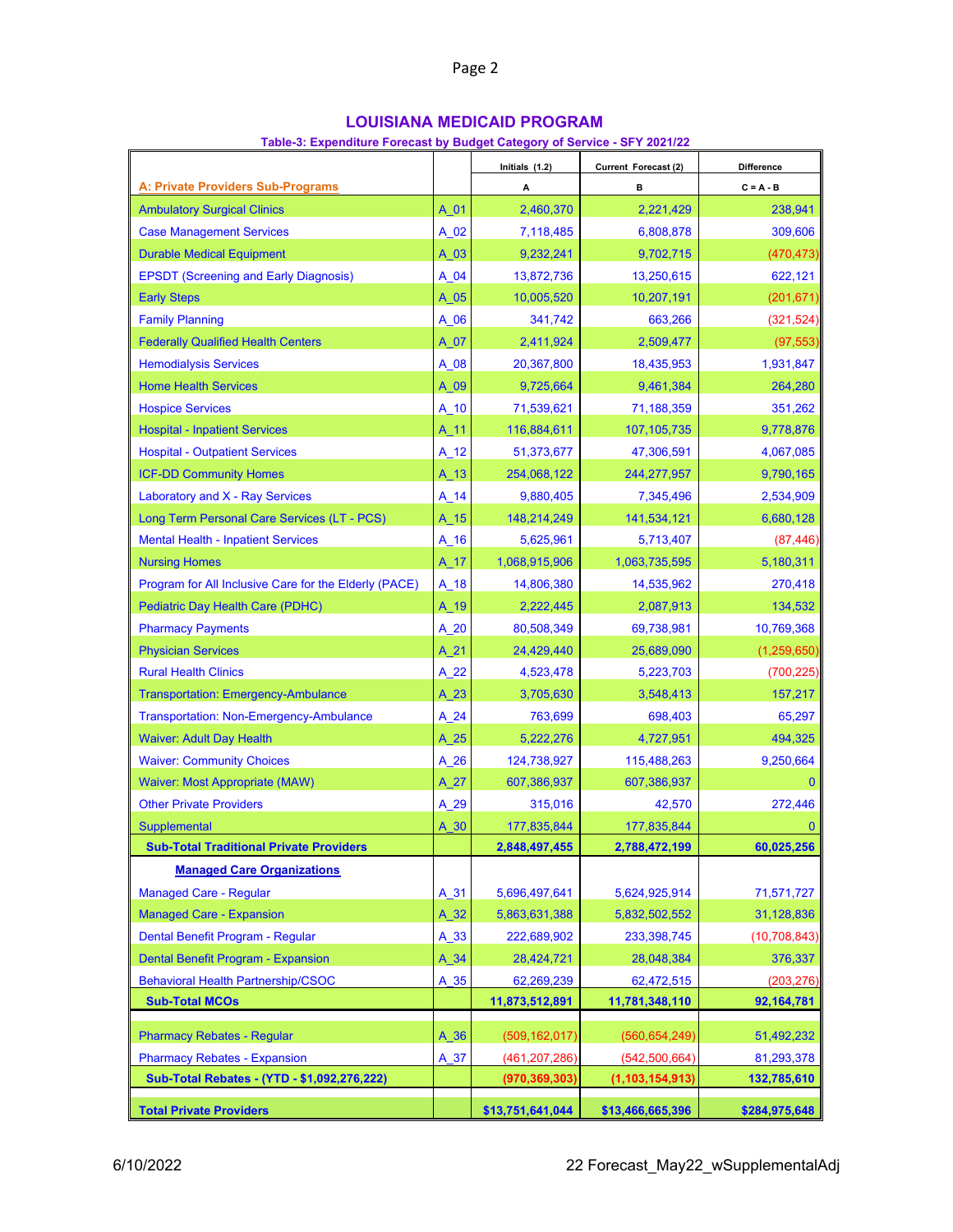## **LOUISIANA MEDICAID PROGRAM**

|  |  |  | Table-3: Expenditure Forecast by Budget Category of Service - SFY 2021/22 |
|--|--|--|---------------------------------------------------------------------------|
|  |  |  |                                                                           |

|                                                       | Initials (1.2) |                  | Current Forecast (2) | <b>Difference</b> |  |
|-------------------------------------------------------|----------------|------------------|----------------------|-------------------|--|
| <b>A: Private Providers Sub-Programs</b>              |                | А                | в                    | $C = A - B$       |  |
| <b>Ambulatory Surgical Clinics</b>                    | A 01           | 2,460,370        | 2,221,429            | 238,941           |  |
| <b>Case Management Services</b>                       | A 02           | 7,118,485        | 6,808,878            | 309,606           |  |
| <b>Durable Medical Equipment</b>                      | A 03           | 9,232,241        | 9,702,715            | (470, 473)        |  |
| <b>EPSDT (Screening and Early Diagnosis)</b>          | A 04           | 13,872,736       | 13,250,615           | 622,121           |  |
| <b>Early Steps</b>                                    | $A_05$         | 10,005,520       | 10,207,191           | (201, 671)        |  |
| <b>Family Planning</b>                                | A 06           | 341,742          | 663,266              | (321, 524)        |  |
| <b>Federally Qualified Health Centers</b>             | A 07           | 2,411,924        | 2,509,477            | (97, 553)         |  |
| <b>Hemodialysis Services</b>                          | A 08           | 20,367,800       | 18,435,953           | 1,931,847         |  |
| <b>Home Health Services</b>                           | A 09           | 9,725,664        | 9,461,384            | 264,280           |  |
| <b>Hospice Services</b>                               | A 10           | 71,539,621       | 71,188,359           | 351,262           |  |
| <b>Hospital - Inpatient Services</b>                  | A 11           | 116,884,611      | 107, 105, 735        | 9,778,876         |  |
| <b>Hospital - Outpatient Services</b>                 | A 12           | 51,373,677       | 47,306,591           | 4,067,085         |  |
| <b>ICF-DD Community Homes</b>                         | $A_13$         | 254,068,122      | 244,277,957          | 9,790,165         |  |
| Laboratory and X - Ray Services                       | A 14           | 9,880,405        | 7,345,496            | 2,534,909         |  |
| Long Term Personal Care Services (LT - PCS)           | A 15           | 148,214,249      | 141,534,121          | 6,680,128         |  |
| <b>Mental Health - Inpatient Services</b>             | $A_16$         | 5,625,961        | 5,713,407            | (87, 446)         |  |
| <b>Nursing Homes</b>                                  | A 17           | 1,068,915,906    | 1,063,735,595        | 5,180,311         |  |
| Program for All Inclusive Care for the Elderly (PACE) | A 18           | 14,806,380       | 14,535,962           | 270,418           |  |
| <b>Pediatric Day Health Care (PDHC)</b>               | A 19           | 2,222,445        | 2,087,913            | 134,532           |  |
| <b>Pharmacy Payments</b>                              | A 20           | 80,508,349       | 69,738,981           | 10,769,368        |  |
| <b>Physician Services</b>                             | A 21           | 24,429,440       | 25,689,090           | (1, 259, 650)     |  |
| <b>Rural Health Clinics</b>                           | A 22           | 4,523,478        | 5,223,703            | (700, 225)        |  |
| <b>Transportation: Emergency-Ambulance</b>            | A 23           | 3,705,630        | 3,548,413            | 157,217           |  |
| <b>Transportation: Non-Emergency-Ambulance</b>        | $A_24$         | 763,699          | 698,403              | 65,297            |  |
| <b>Waiver: Adult Day Health</b>                       | A 25           | 5,222,276        | 4,727,951            | 494,325           |  |
| <b>Waiver: Community Choices</b>                      | A 26           | 124,738,927      | 115,488,263          | 9,250,664         |  |
| <b>Waiver: Most Appropriate (MAW)</b>                 | $A_27$         | 607,386,937      | 607,386,937          | 0                 |  |
| <b>Other Private Providers</b>                        | $A_29$         | 315,016          | 42,570               | 272,446           |  |
| <b>Supplemental</b>                                   | A 30           | 177,835,844      | 177,835,844          | 0                 |  |
| <b>Sub-Total Traditional Private Providers</b>        |                | 2,848,497,455    | 2,788,472,199        | 60,025,256        |  |
| <b>Managed Care Organizations</b>                     |                |                  |                      |                   |  |
| <b>Managed Care - Regular</b>                         | $A_31$         | 5,696,497,641    | 5,624,925,914        | 71,571,727        |  |
| <b>Managed Care - Expansion</b>                       | $A_32$         | 5,863,631,388    | 5,832,502,552        | 31,128,836        |  |
| Dental Benefit Program - Regular                      | $A_33$         | 222,689,902      | 233,398,745          | (10, 708, 843)    |  |
| Dental Benefit Program - Expansion                    | $A_34$         | 28,424,721       | 28,048,384           | 376,337           |  |
| <b>Behavioral Health Partnership/CSOC</b>             | A 35           | 62,269,239       | 62,472,515           | (203, 276)        |  |
| <b>Sub-Total MCOs</b>                                 |                | 11,873,512,891   | 11,781,348,110       | 92, 164, 781      |  |
| <b>Pharmacy Rebates - Regular</b>                     | A 36           | (509, 162, 017)  | (560, 654, 249)      | 51,492,232        |  |
| <b>Pharmacy Rebates - Expansion</b>                   | $A_37$         | (461, 207, 286)  | (542, 500, 664)      | 81,293,378        |  |
| Sub-Total Rebates - (YTD - \$1,092,276,222)           |                | (970, 369, 303)  | (1, 103, 154, 913)   | 132,785,610       |  |
| <b>Total Private Providers</b>                        |                | \$13,751,641,044 | \$13,466,665,396     | \$284,975,648     |  |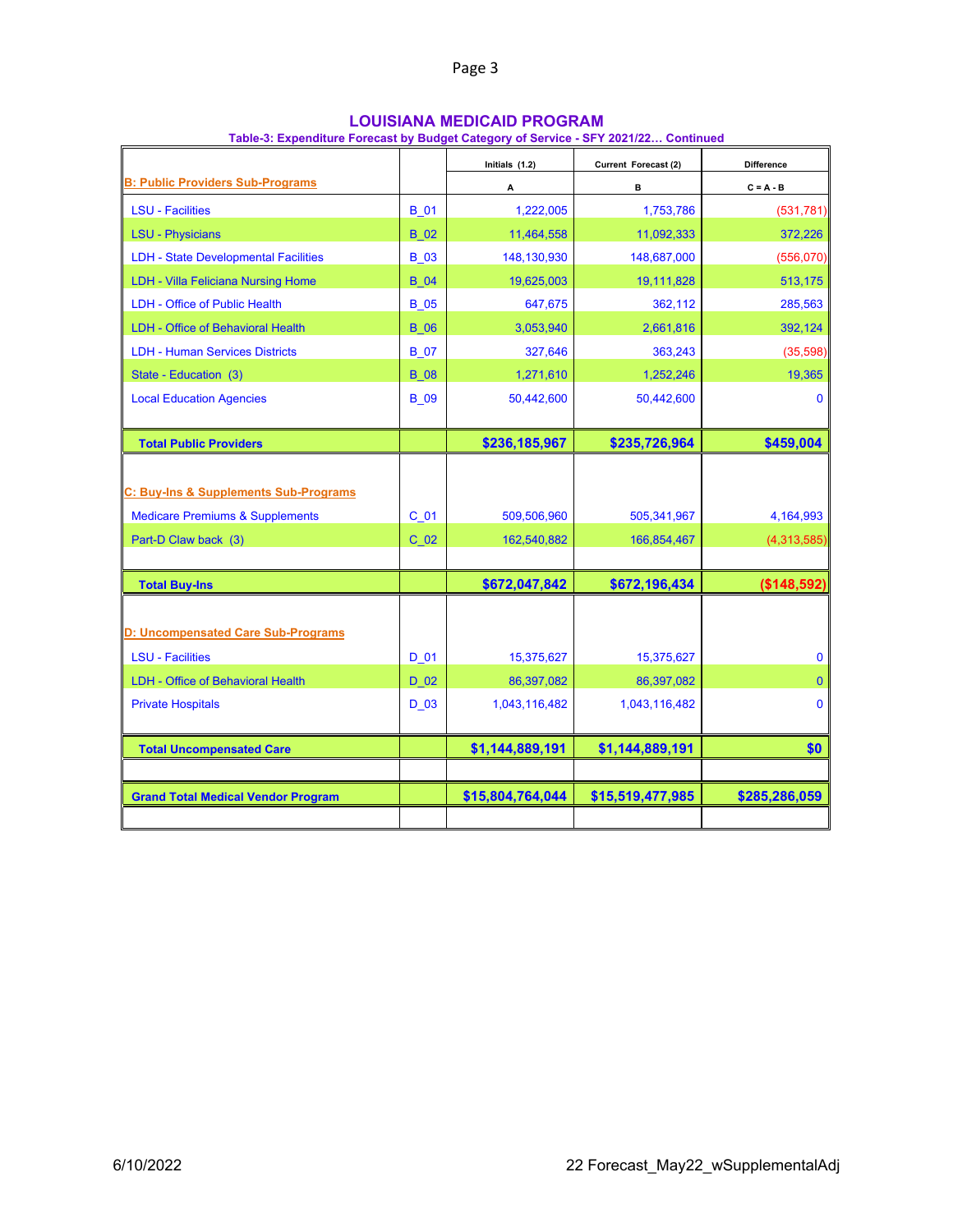|                                                                                                                                       |                           | Initials (1.2)                            | Current Forecast (2)                      | <b>Difference</b>                              |
|---------------------------------------------------------------------------------------------------------------------------------------|---------------------------|-------------------------------------------|-------------------------------------------|------------------------------------------------|
| <b>B: Public Providers Sub-Programs</b>                                                                                               |                           | Α                                         | в                                         | $C = A - B$                                    |
| <b>LSU - Facilities</b>                                                                                                               | <b>B</b> 01               | 1,222,005                                 | 1,753,786                                 | (531, 781)                                     |
| <b>LSU - Physicians</b>                                                                                                               | <b>B_02</b>               | 11,464,558                                | 11,092,333                                | 372,226                                        |
| <b>LDH</b> - State Developmental Facilities                                                                                           | <b>B</b> 03               | 148,130,930                               | 148,687,000                               | (556,070)                                      |
| <b>LDH - Villa Feliciana Nursing Home</b>                                                                                             | <b>B</b> 04               | 19,625,003                                | 19,111,828                                | 513,175                                        |
| <b>LDH - Office of Public Health</b>                                                                                                  | <b>B_05</b>               | 647,675                                   | 362,112                                   | 285,563                                        |
| <b>LDH - Office of Behavioral Health</b>                                                                                              | <b>B</b> 06               | 3,053,940                                 | 2,661,816                                 | 392,124                                        |
| <b>LDH - Human Services Districts</b>                                                                                                 | <b>B</b> 07               | 327,646                                   | 363,243                                   | (35,598)                                       |
| State - Education (3)                                                                                                                 | <b>B</b> 08               | 1,271,610                                 | 1,252,246                                 | 19,365                                         |
| <b>Local Education Agencies</b>                                                                                                       | <b>B</b> 09               | 50,442,600                                | 50,442,600                                | $\mathbf{0}$                                   |
| <b>Total Public Providers</b>                                                                                                         |                           | \$236,185,967                             | \$235,726,964                             | \$459,004                                      |
| C: Buy-Ins & Supplements Sub-Programs<br><b>Medicare Premiums &amp; Supplements</b><br>Part-D Claw back (3)                           | C <sub>01</sub><br>$C$ 02 | 509,506,960<br>162,540,882                | 505,341,967<br>166,854,467                | 4,164,993<br>(4,313,585)                       |
| <b>Total Buy-Ins</b>                                                                                                                  |                           | \$672,047,842                             | \$672,196,434                             | (\$148,592)                                    |
| D: Uncompensated Care Sub-Programs<br><b>LSU - Facilities</b><br><b>LDH - Office of Behavioral Health</b><br><b>Private Hospitals</b> | D 01<br>D 02<br>$D_03$    | 15,375,627<br>86,397,082<br>1,043,116,482 | 15,375,627<br>86,397,082<br>1,043,116,482 | $\mathbf{0}$<br>$\mathbf{0}$<br>$\overline{0}$ |
| <b>Total Uncompensated Care</b>                                                                                                       |                           | \$1,144,889,191                           | \$1,144,889,191                           | \$0                                            |
|                                                                                                                                       |                           |                                           |                                           |                                                |
| <b>Grand Total Medical Vendor Program</b>                                                                                             |                           | \$15,804,764,044                          | \$15,519,477,985                          | \$285,286,059                                  |
|                                                                                                                                       |                           |                                           |                                           |                                                |

#### **LOUISIANA MEDICAID PROGRAM**

**Table-3: Expenditure Forecast by Budget Category of Service - SFY 2021/22… Continued**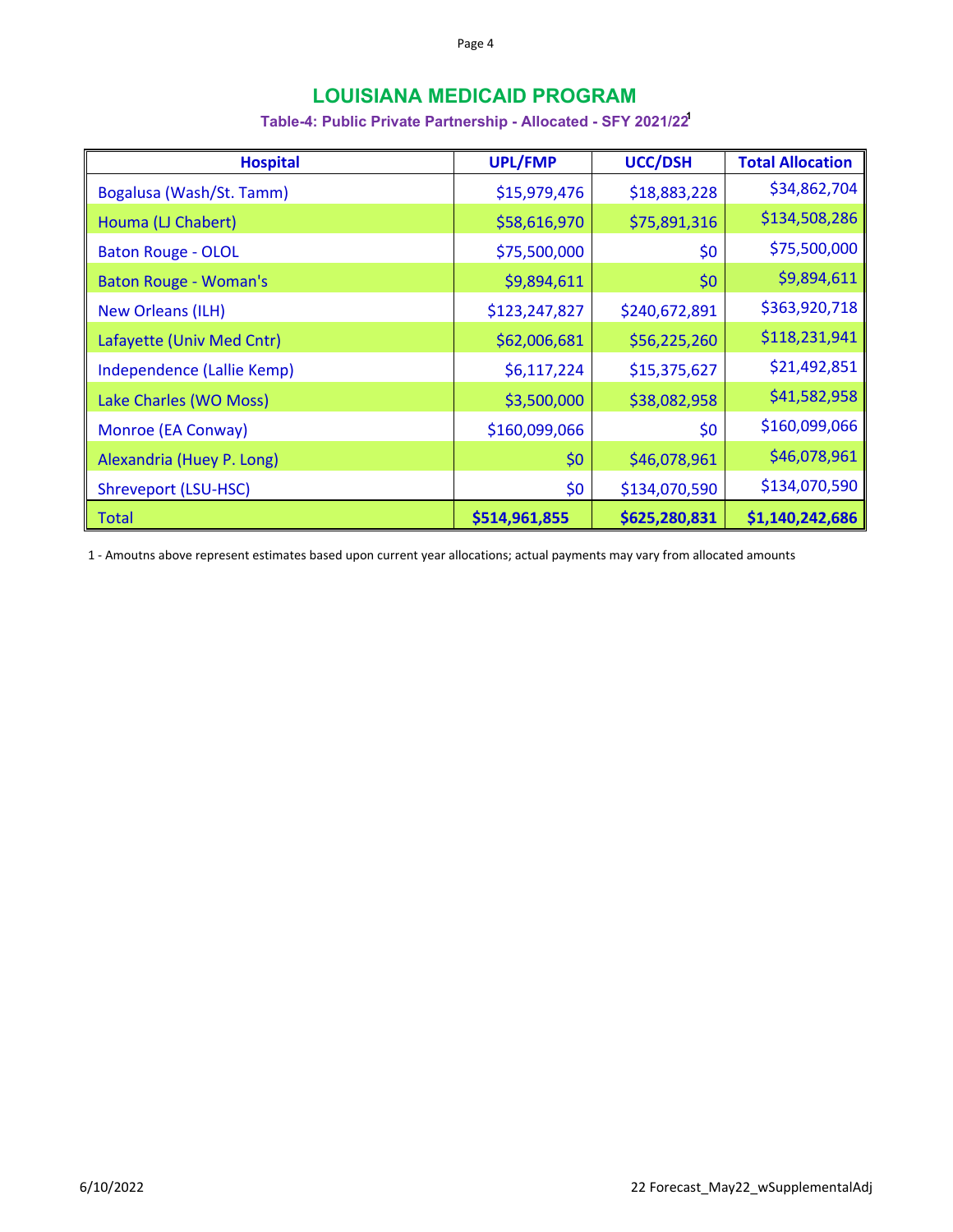# **LOUISIANA MEDICAID PROGRAM**

## **Table-4: Public Private Partnership - Allocated - SFY 2021/221**

| <b>Hospital</b>              | <b>UPL/FMP</b> | <b>UCC/DSH</b> | <b>Total Allocation</b> |
|------------------------------|----------------|----------------|-------------------------|
| Bogalusa (Wash/St. Tamm)     | \$15,979,476   | \$18,883,228   | \$34,862,704            |
| Houma (LJ Chabert)           | \$58,616,970   | \$75,891,316   | \$134,508,286           |
| <b>Baton Rouge - OLOL</b>    | \$75,500,000   | \$0            | \$75,500,000            |
| <b>Baton Rouge - Woman's</b> | \$9,894,611    | \$0            | \$9,894,611             |
| <b>New Orleans (ILH)</b>     | \$123,247,827  | \$240,672,891  | \$363,920,718           |
| Lafayette (Univ Med Cntr)    | \$62,006,681   | \$56,225,260   | \$118,231,941           |
| Independence (Lallie Kemp)   | \$6,117,224    | \$15,375,627   | \$21,492,851            |
| Lake Charles (WO Moss)       | \$3,500,000    | \$38,082,958   | \$41,582,958            |
| Monroe (EA Conway)           | \$160,099,066  | \$0            | \$160,099,066           |
| Alexandria (Huey P. Long)    | \$0            | \$46,078,961   | \$46,078,961            |
| Shreveport (LSU-HSC)         | \$0            | \$134,070,590  | \$134,070,590           |
| <b>Total</b>                 | \$514,961,855  | \$625,280,831  | \$1,140,242,686         |

1 ‐ Amoutns above represent estimates based upon current year allocations; actual payments may vary from allocated amounts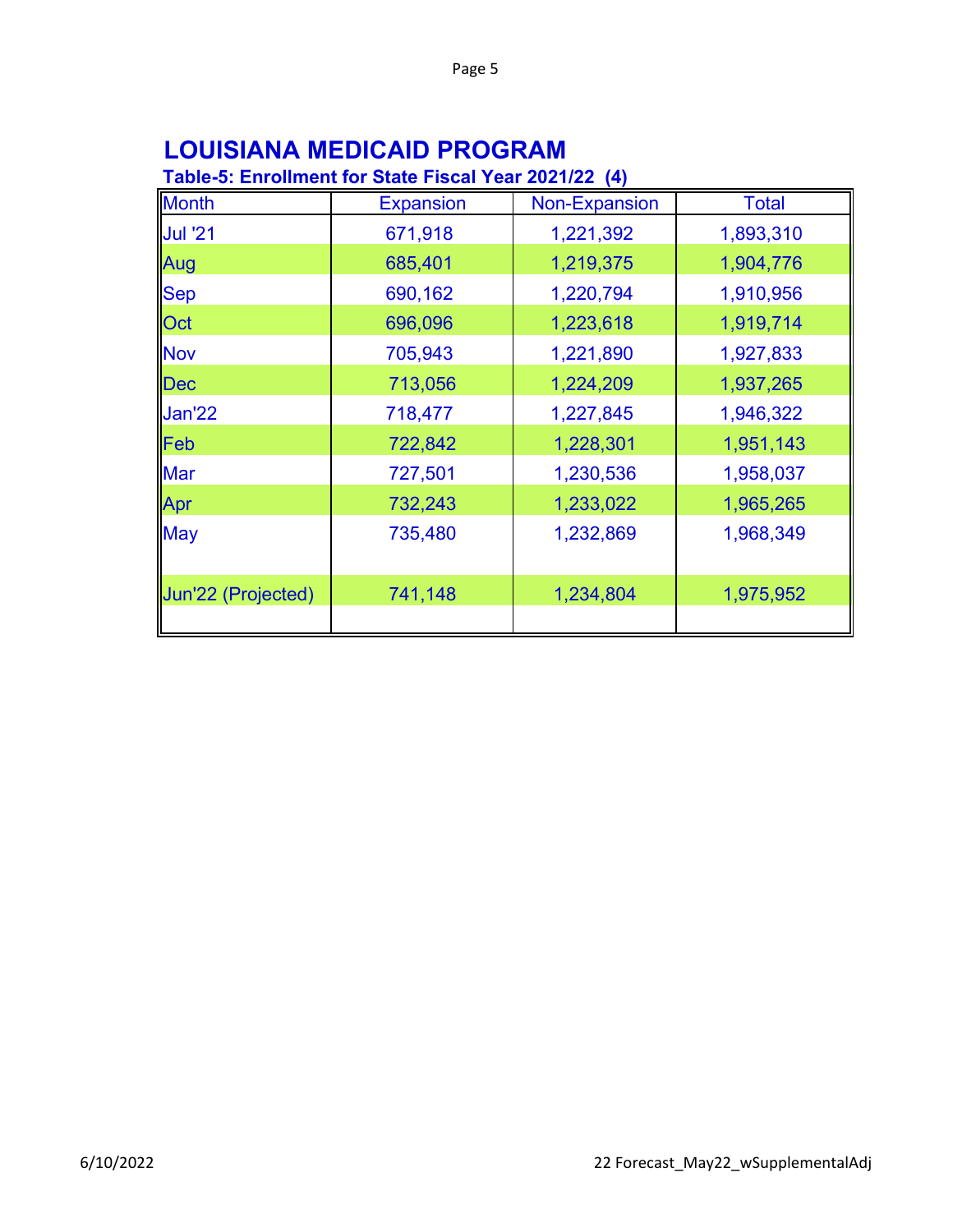# **LOUISIANA MEDICAID PROGRAM**

# **Table-5: Enrollment for State Fiscal Year 2021/22 (4)**

| <b>Month</b>       | <b>Expansion</b> | Non-Expansion | <b>Total</b> |
|--------------------|------------------|---------------|--------------|
| <b>Jul '21</b>     | 671,918          | 1,221,392     | 1,893,310    |
| Aug                | 685,401          | 1,219,375     | 1,904,776    |
| <b>Sep</b>         | 690,162          | 1,220,794     | 1,910,956    |
| Oct                | 696,096          | 1,223,618     | 1,919,714    |
| <b>Nov</b>         | 705,943          | 1,221,890     | 1,927,833    |
| Dec                | 713,056          | 1,224,209     | 1,937,265    |
| <b>Jan'22</b>      | 718,477          | 1,227,845     | 1,946,322    |
| Feb                | 722,842          | 1,228,301     | 1,951,143    |
| Mar                | 727,501          | 1,230,536     | 1,958,037    |
| Apr                | 732,243          | 1,233,022     | 1,965,265    |
| <b>May</b>         | 735,480          | 1,232,869     | 1,968,349    |
| Jun'22 (Projected) | 741,148          | 1,234,804     | 1,975,952    |